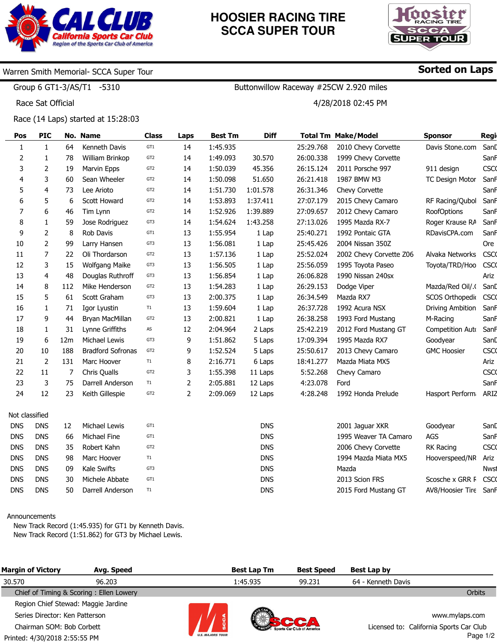

## **HOOSIER RACING TIRE SCCA SUPER TOUR**

Buttonwillow Raceway #25CW 2.920 miles

4/28/2018 02:45 PM



Sorted on Laps

## Warren Smith Memorial- SCCA Super Tour

Group 6 GT1-3/AS/T1 -5310

Race Sat Official

Race (14 Laps) started at 15:28:03

| Pos                      | <b>PIC</b>     |     | No. Name                 | <b>Class</b>    | Laps           | <b>Best Tm</b> | <b>Diff</b> |           | <b>Total Tm Make/Model</b> | <b>Sponsor</b>         | Regi        |
|--------------------------|----------------|-----|--------------------------|-----------------|----------------|----------------|-------------|-----------|----------------------------|------------------------|-------------|
| $\mathbf{1}$             | $\mathbf{1}$   | 64  | Kenneth Davis            | GT1             | 14             | 1:45.935       |             | 25:29.768 | 2010 Chevy Corvette        | Davis Stone.com        | SanD        |
| 2                        | 1              | 78  | William Brinkop          | GT <sub>2</sub> | 14             | 1:49.093       | 30.570      | 26:00.338 | 1999 Chevy Corvette        |                        | Sanh        |
| 3                        | $\overline{2}$ | 19  | Marvin Epps              | GT <sub>2</sub> | 14             | 1:50.039       | 45.356      | 26:15.124 | 2011 Porsche 997           | 911 design             | <b>CSCO</b> |
| $\overline{\mathcal{A}}$ | 3              | 60  | Sean Wheeler             | GT <sub>2</sub> | 14             | 1:50.098       | 51.650      | 26:21.418 | 1987 BMW M3                | <b>TC Design Motor</b> | Sanh        |
| 5                        | $\overline{4}$ | 73  | Lee Arioto               | GT <sub>2</sub> | 14             | 1:51.730       | 1:01.578    | 26:31.346 | Chevy Corvette             |                        | Sanh        |
| 6                        | 5              | 6   | Scott Howard             | GT <sub>2</sub> | 14             | 1:53.893       | 1:37.411    | 27:07.179 | 2015 Chevy Camaro          | RF Racing/Qubol        | Sanh        |
| $\overline{7}$           | 6              | 46  | Tim Lynn                 | GT <sub>2</sub> | 14             | 1:52.926       | 1:39.889    | 27:09.657 | 2012 Chevy Camaro          | <b>RoofOptions</b>     | Sanh        |
| 8                        | $\mathbf{1}$   | 59  | Jose Rodriguez           | GT3             | 14             | 1:54.624       | 1:43.258    | 27:13.026 | 1995 Mazda RX-7            | Roger Krause RA        | Sanh        |
| 9                        | $\overline{2}$ | 8   | Rob Davis                | GT1             | 13             | 1:55.954       | 1 Lap       | 25:40.271 | 1992 Pontaic GTA           | RDavisCPA.com          | Sanh        |
| 10                       | $\overline{2}$ | 99  | Larry Hansen             | GT3             | 13             | 1:56.081       | 1 Lap       | 25:45.426 | 2004 Nissan 350Z           |                        | Ore         |
| 11                       | $\overline{7}$ | 22  | Oli Thordarson           | GT <sub>2</sub> | 13             | 1:57.136       | 1 Lap       | 25:52.024 | 2002 Chevy Corvette Z06    | Alvaka Networks        | <b>CSCO</b> |
| 12                       | 3              | 15  | <b>Wolfgang Maike</b>    | GT3             | 13             | 1:56.505       | 1 Lap       | 25:56.059 | 1995 Toyota Paseo          | Toyota/TRD/Hoo         | <b>CSCO</b> |
| 13                       | 4              | 48  | Douglas Ruthroff         | GT3             | 13             | 1:56.854       | 1 Lap       | 26:06.828 | 1990 Nissan 240sx          |                        | Ariz        |
| 14                       | 8              | 112 | Mike Henderson           | GT <sub>2</sub> | 13             | 1:54.283       | 1 Lap       | 26:29.153 | Dodge Viper                | Mazda/Red Oil/.        | Sand        |
| 15                       | 5              | 61  | Scott Graham             | GT3             | 13             | 2:00.375       | 1 Lap       | 26:34.549 | Mazda RX7                  | SCOS Orthopedio        | <b>CSCO</b> |
| 16                       | $\mathbf{1}$   | 71  | Igor Lyustin             | T1              | 13             | 1:59.604       | 1 Lap       | 26:37.728 | 1992 Acura NSX             | Driving Ambition       | SanF        |
| 17                       | 9              | 44  | Bryan MacMillan          | GT <sub>2</sub> | 13             | 2:00.821       | 1 Lap       | 26:38.258 | 1993 Ford Mustang          | M-Racing               | SanF        |
| 18                       | $\mathbf{1}$   | 31  | Lynne Griffiths          | AS              | 12             | 2:04.964       | 2 Laps      | 25:42.219 | 2012 Ford Mustang GT       | Competition Auto       | Sanh        |
| 19                       | 6              | 12m | Michael Lewis            | GT3             | 9              | 1:51.862       | 5 Laps      | 17:09.394 | 1995 Mazda RX7             | Goodyear               | Sand        |
| 20                       | 10             | 188 | <b>Bradford Sofronas</b> | GT <sub>2</sub> | 9              | 1:52.524       | 5 Laps      | 25:50.617 | 2013 Chevy Camaro          | <b>GMC Hoosier</b>     | <b>CSCO</b> |
| 21                       | 2              | 131 | Marc Hoover              | T1              | 8              | 2:16.771       | 6 Laps      | 18:41.277 | Mazda Miata MX5            |                        | Ariz        |
| 22                       | 11             | 7   | Chris Qualls             | GT <sub>2</sub> | 3              | 1:55.398       | 11 Laps     | 5:52.268  | Chevy Camaro               |                        | <b>CSCO</b> |
| 23                       | 3              | 75  | Darrell Anderson         | T1              | $\overline{2}$ | 2:05.881       | 12 Laps     | 4:23.078  | Ford                       |                        | Sanh        |
| 24                       | 12             | 23  | Keith Gillespie          | GT <sub>2</sub> | 2              | 2:09.069       | 12 Laps     | 4:28.248  | 1992 Honda Prelude         | Hasport Perform        | ARIZ        |
| Not classified           |                |     |                          |                 |                |                |             |           |                            |                        |             |
| <b>DNS</b>               | <b>DNS</b>     | 12  | Michael Lewis            | GT1             |                |                | <b>DNS</b>  |           | 2001 Jaquar XKR            | Goodyear               | Sand        |
| <b>DNS</b>               | <b>DNS</b>     | 66  | Michael Fine             | GT1             |                |                | <b>DNS</b>  |           | 1995 Weaver TA Camaro      | AGS                    | SanF        |
| <b>DNS</b>               | <b>DNS</b>     | 35  | Robert Kahn              | GT <sub>2</sub> |                |                | <b>DNS</b>  |           | 2006 Chevy Corvette        | RK Racing              | <b>CSCO</b> |
| <b>DNS</b>               | <b>DNS</b>     | 98  | Marc Hoover              | T1              |                |                | <b>DNS</b>  |           | 1994 Mazda Miata MX5       | Hooverspeed/NR         | Ariz        |
| <b>DNS</b>               | <b>DNS</b>     | 09  | Kale Swifts              | GT3             |                |                | <b>DNS</b>  |           | Mazda                      |                        | <b>Nwst</b> |
| <b>DNS</b>               | <b>DNS</b>     | 30  | Michele Abbate           | GT1             |                |                | <b>DNS</b>  |           | 2013 Scion FRS             | Scosche x GRR F        | <b>CSCO</b> |
| <b>DNS</b>               | <b>DNS</b>     | 50  | Darrell Anderson         | T1              |                |                | <b>DNS</b>  |           | 2015 Ford Mustang GT       | AV8/Hoosier Tire       | SanF        |

## Announcements

New Track Record (1:45.935) for GT1 by Kenneth Davis. New Track Record (1:51.862) for GT3 by Michael Lewis.

| <b>Margin of Victory</b>            | Avg. Speed                              |                         | <b>Best Lap Tm</b> | <b>Best Speed</b>         | Best Lap by                             |                |
|-------------------------------------|-----------------------------------------|-------------------------|--------------------|---------------------------|-----------------------------------------|----------------|
| 30.570                              | 96.203                                  |                         | 1:45.935           | 99.231                    | 64 - Kenneth Davis                      |                |
|                                     | Chief of Timing & Scoring: Ellen Lowery |                         |                    |                           |                                         | <b>Orbits</b>  |
| Region Chief Stewad: Maggie Jardine |                                         |                         |                    |                           |                                         |                |
| Series Director: Ken Patterson      |                                         |                         |                    |                           |                                         | www.mylaps.com |
| Chairman SOM: Bob Corbett           |                                         |                         |                    | Sports Car Club of Americ | Licensed to: California Sports Car Club |                |
| Printed: 4/30/2018 2:55:55 PM       |                                         | <b>U.S. MAJORS TOUR</b> |                    |                           |                                         | Page 1/2       |